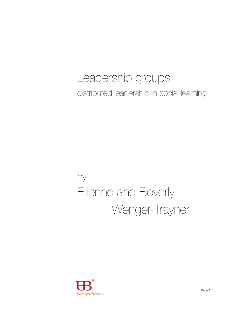# Leadership groups distributed leadership in social learning

# by Etienne and Beverly Wenger-Trayner

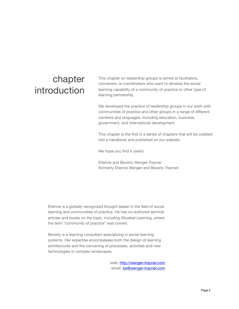# chapter introduction

This chapter on leadership groups is aimed at facilitators, conveners, or coordinators who want to develop the social learning capability of a community of practice or other type of learning partnership.

We developed the practice of leadership groups in our work with communities of practice and other groups in a range of different contexts and languages, including education, business, government, and international development.

This chapter is the first in a series of chapters that will be collated into a handbook and published on our website.

We hope you find it useful.

Etienne and Beverly Wenger-Trayner (formerly Etienne Wenger and Beverly Trayner)

Etienne is a globally recognized thought leader in the field of social learning and communities of practice. He has co-authored seminal articles and books on the topic, including Situated Learning, where the term "community of practice" was coined.

Beverly is a learning consultant specializing in social learning systems. Her expertise encompasses both the design of learning architectures and the convening of processes, activities and new technologies in complex landscapes.

> web:<http://wenger-trayner.com> email: **be@wenger-trayner.com**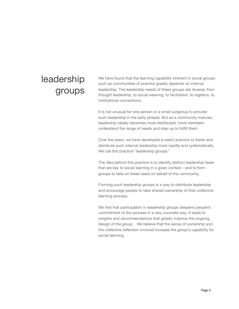# leadership groups

We have found that the learning capability inherent in social groups such as communities of practice greatly depends on internal leadership. The leadership needs of these groups are diverse, from thought leadership, to social weaving, to facilitation, to logistics, to institutional connections.

It is not unusual for one person or a small subgroup to provide such leadership in the early phases. But as a community matures, leadership ideally becomes more distributed: more members understand the range of needs and step up to fulfill them.

Over the years, we have developed a useful practice to foster and distribute such internal leadership more rapidly and systematically. We call this practice "leadership groups."

The idea behind this practice is to identify distinct leadership tasks that are key to social learning in a given context - and to form groups to take on these tasks on behalf of the community.

Forming such leadership groups is a way to distribute leadership and encourage people to take shared ownership of their collective learning process.

We find that participation in leadership groups deepens people's commitment to the process in a very concrete way. It leads to insights and recommendations that greatly improve the ongoing design of the group. We believe that the sense of ownership and the collective reflection involved increase the group's capability for social learning.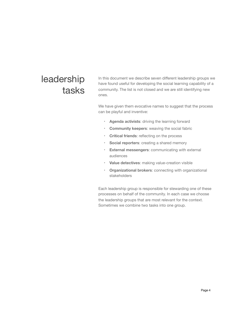# leadership tasks

In this document we describe seven different leadership groups we have found useful for developing the social learning capability of a community. The list is not closed and we are still identifying new ones.

We have given them evocative names to suggest that the process can be playful and inventive:

- ‣ **Agenda activists**: driving the learning forward
- ‣ **Community keepers**: weaving the social fabric
- ‣ **Critical friends**: reflecting on the process
- ‣ **Social reporters**: creating a shared memory
- ‣ **External messengers**: communicating with external audiences
- ‣ **Value detectives**: making value-creation visible
- ‣ **Organizational brokers**: connecting with organizational stakeholders

Each leadership group is responsible for stewarding one of these processes on behalf of the community. In each case we choose the leadership groups that are most relevant for the context. Sometimes we combine two tasks into one group.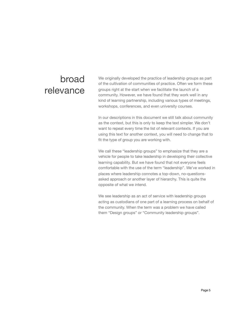# broad relevance

We originally developed the practice of leadership groups as part of the cultivation of communities of practice. Often we form these groups right at the start when we facilitate the launch of a community. However, we have found that they work well in any kind of learning partnership, including various types of meetings, workshops, conferences, and even university courses.

In our descriptions in this document we still talk about community as the context, but this is only to keep the text simpler. We don't want to repeat every time the list of relevant contexts. If you are using this text for another context, you will need to change that to fit the type of group you are working with.

We call these "leadership groups" to emphasize that they are a vehicle for people to take leadership in developing their collective learning capability. But we have found that not everyone feels comfortable with the use of the term "leadership". We've worked in places where leadership connotes a top-down, no-questionsasked approach or another layer of hierarchy. This is quite the opposite of what we intend.

We see leadership as an act of service with leadership groups acting as custodians of one part of a learning process on behalf of the community. When the term was a problem we have called them "Design groups" or "Community leadership groups".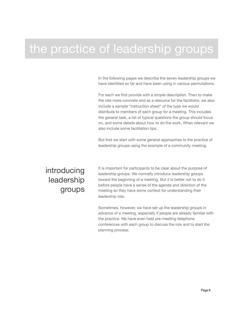# the practice of leadership groups

In the following pages we describe the seven leadership groups we have identified so far and have been using in various permutations.

For each we first provide with a simple description. Then to make the role more concrete and as a resource for the facilitator, we also include a sample "instruction sheet" of the type we would distribute to members of each group for a meeting. This includes the general task, a list of typical questions the group should focus on, and some details about how to do the work. When relevant we also include some facilitation tips.

But first we start with some general approaches to the practice of leadership groups using the example of a community meeting.

### introducing leadership groups

It is important for participants to be clear about the purpose of leadership groups. We normally introduce leadership groups toward the beginning of a meeting. But it is better not to do it before people have a sense of the agenda and direction of the meeting so they have some context for understanding their leadership role.

Sometimes, however, we have set up the leadership groups in advance of a meeting, especially if people are already familiar with the practice. We have even held pre-meeting telephone conferences with each group to discuss the role and to start the planning process.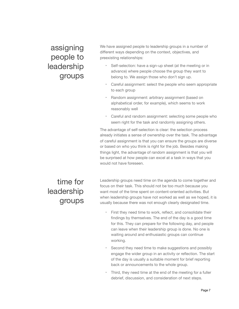assigning people to leadership groups We have assigned people to leadership groups in a number of different ways depending on the context, objectives, and preexisting relationships:

- Self-selection: have a sign-up sheet (at the meeting or in advance) where people choose the group they want to belong to. We assign those who don't sign up.
- ‣ Careful assignment: select the people who seem appropriate to each group
- Random assignment: arbitrary assignment (based on alphabetical order, for example), which seems to work reasonably well
- ‣ Careful and random assignment: selecting some people who seem right for the task and randomly assigning others.

The advantage of self-selection is clear: the selection process already initiates a sense of ownership over the task. The advantage of careful assignment is that you can ensure the groups are diverse or based on who you think is right for the job. Besides making things light, the advantage of random assignment is that you will be surprised at how people can excel at a task in ways that you would not have foreseen.

time for leadership groups Leadership groups need time on the agenda to come together and focus on their task. This should not be too much because you want most of the time spent on content-oriented activities. But when leadership groups have not worked as well as we hoped, it is usually because there was not enough clearly designated time.

- First they need time to work, reflect, and consolidate their findings by themselves. The end of the day is a good time for this. They can prepare for the following day, and people can leave when their leadership group is done. No one is waiting around and enthusiastic groups can continue working.
- ‣ Second they need time to make suggestions and possibly engage the wider group in an activity or reflection. The start of the day is usually a suitable moment for brief reporting back or announcements to the whole group.
- ‣ Third, they need time at the end of the meeting for a fuller debrief, discussion, and consideration of next steps.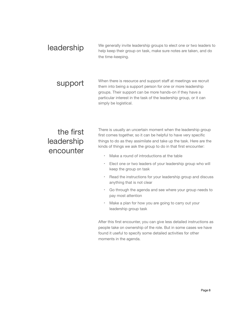| leadership | We generally invite leadership groups to elect one or two leaders to<br>help keep their group on task, make sure notes are taken, and do<br>the time-keeping.                                                                                                                              |
|------------|--------------------------------------------------------------------------------------------------------------------------------------------------------------------------------------------------------------------------------------------------------------------------------------------|
| support    | When there is resource and support staff at meetings we recruit<br>them into being a support person for one or more leadership<br>groups. Their support can be more hands-on if they have a<br>particular interest in the task of the leadership group, or it can<br>simply be logistical. |

### the first leadership encounter

There is usually an uncertain moment when the leadership group first comes together, so it can be helpful to have very specific things to do as they assimilate and take up the task. Here are the kinds of things we ask the group to do in that first encounter:

- ‣ Make a round of introductions at the table
- ‣ Elect one or two leaders of your leadership group who will keep the group on task
- ‣ Read the instructions for your leadership group and discuss anything that is not clear
- ‣ Go through the agenda and see where your group needs to pay most attention
- ‣ Make a plan for how you are going to carry out your leadership group task

After this first encounter, you can give less detailed instructions as people take on ownership of the role. But in some cases we have found it useful to specify some detailed activities for other moments in the agenda.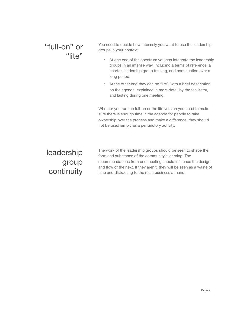### "full-on" or "lite"

You need to decide how intensely you want to use the leadership groups in your context:

- ‣ At one end of the spectrum you can integrate the leadership groups in an intense way, including a terms of reference, a charter, leadership group training, and continuation over a long period.
- ‣ At the other end they can be "lite", with a brief description on the agenda, explained in more detail by the facilitator, and lasting during one meeting.

Whether you run the full-on or the lite version you need to make sure there is enough time in the agenda for people to take ownership over the process and make a difference; they should not be used simply as a perfunctory activity.

leadership group continuity

The work of the leadership groups should be seen to shape the form and substance of the community's learning. The recommendations from one meeting should influence the design and flow of the next. If they aren't, they will be seen as a waste of time and distracting to the main business at hand.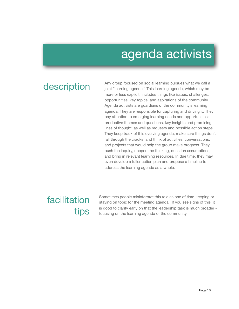# agenda activists

description Any group focused on social learning pursues what we call a joint "learning agenda." This learning agenda, which may be more or less explicit, includes things like issues, challenges, opportunities, key topics, and aspirations of the community. Agenda activists are guardians of the community's learning agenda. They are responsible for capturing and driving it. They pay attention to emerging learning needs and opportunities: productive themes and questions, key insights and promising lines of thought, as well as requests and possible action steps. They keep track of this evolving agenda, make sure things don't fall through the cracks, and think of activities, conversations, and projects that would help the group make progress. They push the inquiry, deepen the thinking, question assumptions, and bring in relevant learning resources. In due time, they may even develop a fuller action plan and propose a timeline to address the learning agenda as a whole.

# facilitation tips

Sometimes people misinterpret this role as one of time-keeping or staying on topic for the meeting agenda. If you see signs of this, it is good to clarify early on that the leadership task is much broader focusing on the learning agenda of the community.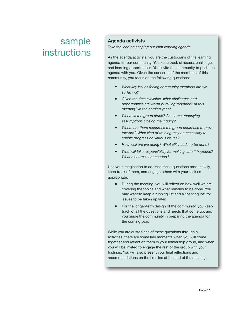### **Agenda activists**

*Take the lead on shaping our joint learning agenda*

As the agenda activists, you are the custodians of the learning agenda for our community. You keep track of issues, challenges, and learning opportunities. You invite the community to push the agenda with you. Given the concerns of the members of this community, you focus on the following questions:

- § *What key issues facing community members are we surfacing?*
- Given the time available, what challenges and *opportunities are worth pursuing together? At this meeting? In the coming year?*
- *Where is the group stuck? Are some underlying assumptions closing the inquiry?*
- § *Where are there resources the group could use to move forward? What kind of training may be necessary to enable progress on various issues?*
- § *How well are we doing? What still needs to be done?*
- § *Who will take responsibility for making sure it happens? What resources are needed?*

Use your imagination to address these questions productively, keep track of them, and engage others with your task as appropriate:

- During the meeting, you will reflect on how well we are covering the topics and what remains to be done. You may want to keep a running list and a "parking lot" for issues to be taken up later.
- For the longer-term design of the community, you keep track of all the questions and needs that come up, and you guide the community in preparing the agenda for the coming year.

While you are custodians of these questions through all activities, there are some key moments when you will come together and reflect on them in your leadership group, and when you will be invited to engage the rest of the group with your findings. You will also present your final reflections and recommendations on the timeline at the end of the meeting.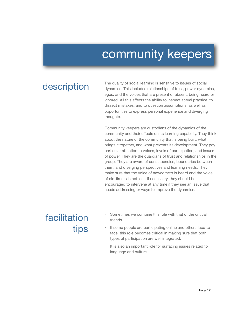# community keepers

The quality of social learning is sensitive to issues of social<br>dynamics. This includes relationships of trust, power dynamics, egos, and the voices that are present or absent, being heard or ignored. All this affects the ability to inspect actual practice, to dissect mistakes, and to question assumptions, as well as opportunities to express personal experience and diverging thoughts.

> Community keepers are custodians of the dynamics of the community and their effects on its learning capability. They think about the nature of the community that is being built, what brings it together, and what prevents its development. They pay particular attention to voices, levels of participation, and issues of power. They are the guardians of trust and relationships in the group. They are aware of constituencies, boundaries between them, and diverging perspectives and learning needs. They make sure that the voice of newcomers is heard and the voice of old-timers is not lost. If necessary, they should be encouraged to intervene at any time if they see an issue that needs addressing or ways to improve the dynamics.

# facilitation tips

- Sometimes we combine this role with that of the critical friends.
- If some people are participating online and others face-toface, this role becomes critical in making sure that both types of participation are well integrated.
- It is also an important role for surfacing issues related to language and culture.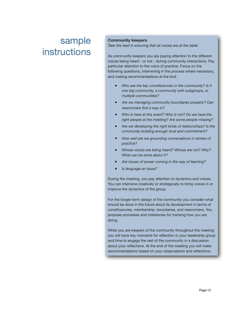### **Community keepers**

*Take the lead in ensuring that all voices are at the table*

As community keepers you are paying attention to the different voices being heard - or not - during community interactions. Pay particular attention to the voice of practice. Focus on the following questions, intervening in the process where necessary, and making recommendations at the end:

- § *Who are the key constituencies in the community? Is it one big community, a community with subgroups, or multiple communities?*
- § *Are we managing community boundaries properly? Can newcomers find a way in?*
- § *Who is here at this event? Who is not? Do we have the right people at the meeting? Are some people missing?*
- § *Are we developing the right kinds of relationships? Is the community building enough trust and commitment?*
- § *How well are we grounding conversations in stories of practice?*
- *Whose voices are being heard? Whose are not? Why? What can be done about it?*
- § *Are issues of power coming in the way of learning?*
- § *Is language an issue?*

During the meeting, you pay attention to dynamics and voices. You can intervene creatively or strategically to bring voices in or improve the dynamics of the group.

For the longer-term design of the community you consider what should be done in the future about its development in terms of constituencies, membership, boundaries, and newcomers. You propose processes and milestones for tracking how you are doing.

While you are keepers of the community throughout the meeting you will have key moments for reflection in your leadership group and time to engage the rest of the community in a discussion about your reflections. At the end of the meeting you will make recommendations based on your observations and reflections.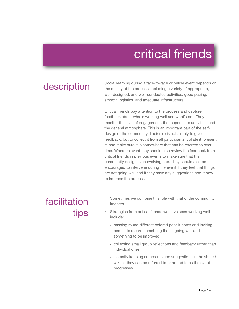# critical friends

## description

Social learning during a face-to-face or online event depends on the quality of the process, including a variety of appropriate, well-designed, and well-conducted activities, good pacing, smooth logistics, and adequate infrastructure.

Critical friends pay attention to the process and capture feedback about what's working well and what's not. They monitor the level of engagement, the response to activities, and the general atmosphere. This is an important part of the selfdesign of the community. Their role is not simply to give feedback, but to collect it from all participants, collate it, present it, and make sure it is somewhere that can be referred to over time. Where relevant they should also review the feedback from critical friends in previous events to make sure that the community design is an evolving one. They should also be encouraged to intervene during the event if they feel that things are not going well and if they have any suggestions about how to improve the process.

## facilitation tips

- Sometimes we combine this role with that of the community keepers
- Strategies from critical friends we have seen working well include:
	- passing round different colored post-it notes and inviting people to record something that is going well and something to be improved
	- collecting small group reflections and feedback rather than individual ones
	- instantly keeping comments and suggestions in the shared wiki so they can be referred to or added to as the event progresses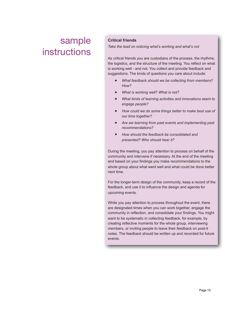### **Critical friends**

*Take the lead on noticing what's working and what's not*

As critical friends you are custodians of the process, the rhythms, the logistics, and the structure of the meeting. You reflect on what is working well - and not. You collect and provide feedback and suggestions. The kinds of questions you care about include:

- § *What feedback should we be collecting from members? How?*
- § *What is working well? What is not?*
- § *What kinds of learning activities and innovations seem to engage people?*
- How could we do some things better to make best use of *our time together?*
- § *Are we learning from past events and implementing past recommendations?*
- § *How should the feedback be consolidated and presented? Who should hear it?*

During the meeting, you pay attention to process on behalf of the community and intervene if necessary. At the end of the meeting and based on your findings you make recommendations to the whole group about what went well and what could be done better next time.

For the longer-term design of the community, keep a record of the feedback, and use it to influence the design and agenda for upcoming events.

While you pay attention to process throughout the event, there are designated times when you can work together, engage the community in reflection, and consolidate your findings. You might want to be systematic in collecting feedback, for example, by creating reflective moments for the whole group, interviewing members, or inviting people to leave their feedback on post-it notes. The feedback should be written up and recorded for future events.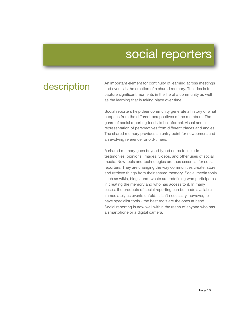# social reporters

description An important element for continuity of learning across meetings<br>and events is the creation of a shared memory. The idea is to capture significant moments in the life of a community as well as the learning that is taking place over time.

> Social reporters help their community generate a history of what happens from the different perspectives of the members. The genre of social reporting tends to be informal, visual and a representation of perspectives from different places and angles. The shared memory provides an entry point for newcomers and an evolving reference for old-timers.

> A shared memory goes beyond typed notes to include testimonies, opinions, images, videos, and other uses of social media. New tools and technologies are thus essential for social reporters. They are changing the way communities create, store, and retrieve things from their shared memory. Social media tools such as wikis, blogs, and tweets are redefining who participates in creating the memory and who has access to it. In many cases, the products of social reporting can be made available immediately as events unfold. It isn't necessary, however, to have specialist tools - the best tools are the ones at hand. Social reporting is now well within the reach of anyone who has a smartphone or a digital camera.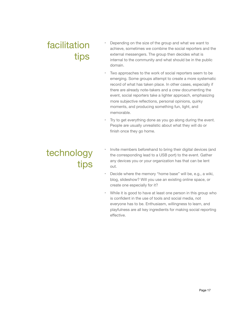# facilitation tips

- Depending on the size of the group and what we want to achieve, sometimes we combine the social reporters and the external messengers. The group then decides what is internal to the community and what should be in the public domain.
- Two approaches to the work of social reporters seem to be emerging. Some groups attempt to create a more systematic record of what has taken place. In other cases, especially if there are already note-takers and a crew documenting the event, social reporters take a lighter approach, emphasizing more subjective reflections, personal opinions, quirky moments, and producing something fun, light, and memorable.
- ‣ Try to get everything done as you go along during the event. People are usually unrealistic about what they will do or finish once they go home.

# technology tips

- Invite members beforehand to bring their digital devices (and the corresponding lead to a USB port) to the event. Gather any devices you or your organization has that can be lent out.
- Decide where the memory "home base" will be, e.g., a wiki, blog, slideshow? Will you use an existing online space, or create one especially for it?
- ‣ While it is good to have at least one person in this group who is confident in the use of tools and social media, not everyone has to be. Enthusiasm, willingness to learn, and playfulness are all key ingredients for making social reporting effective.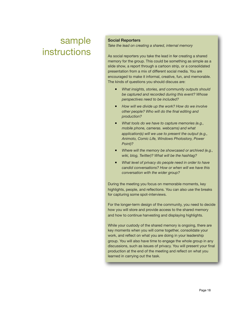### **Social Reporters**

*Take the lead on creating a shared, internal memory*

As social reporters you take the lead in for creating a shared memory for the group. This could be something as simple as a slide show, a report through a cartoon strip, or a consolidated presentation from a mix of different social media. You are encouraged to make it informal, creative, fun, and memorable. The kinds of questions you should discuss are:

- *What insights, stories, and community outputs should be captured and recorded during this event? Whose perspectives need to be included?*
- § *How will we divide up the work? How do we involve other people? Who will do the final editing and production?*
- § *What tools do we have to capture memories (e.g., mobile phone, cameras. webcams) and what application(s) will we use to present the output (e.g., Animoto, Comic Life, Windows Photostory, Power Point)?*
- § *Where will the memory be showcased or archived (e.g., wiki, blog, Twitter)? What will be the hashtag?*
- § *What level of privacy do people need in order to have candid conversations? How or when will we have this conversation with the wider group?*

During the meeting you focus on memorable moments, key highlights, people, and reflections. You can also use the breaks for capturing some spot-interviews.

For the longer-term design of the community, you need to decide how you will store and provide access to the shared memory and how to continue harvesting and displaying highlights.

While your custody of the shared memory is ongoing, there are key moments when you will come together, consolidate your work, and reflect on what you are doing in your leadership group. You will also have time to engage the whole group in any discussions, such as issues of privacy. You will present your final production at the end of the meeting and reflect on what you learned in carrying out the task.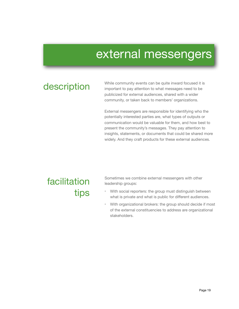# external messengers

While community events can be quite inward focused it is<br>
important to pay attention to what messages need to be important to pay attention to what messages need to be publicized for external audiences, shared with a wider community, or taken back to members' organizations.

> External messengers are responsible for identifying who the potentially interested parties are, what types of outputs or communication would be valuable for them, and how best to present the community's messages. They pay attention to insights, statements, or documents that could be shared more widely. And they craft products for these external audiences.

## facilitation tips

Sometimes we combine external messengers with other leadership groups:

- With social reporters: the group must distinguish between what is private and what is public for different audiences.
- ‣ With organizational brokers: the group should decide if most of the external constituencies to address are organizational stakeholders.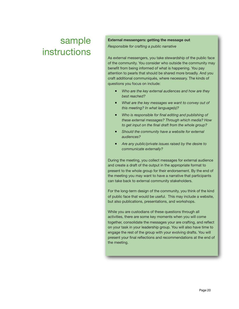#### **External messengers: getting the message out**

*Responsible for crafting a public narrative*

As external messengers, you take stewardship of the public face of the community. You consider who outside the community may benefit from being informed of what is happening. You pay attention to pearls that should be shared more broadly. And you craft additional communiqués, where necessary. The kinds of questions you focus on include:

- *Who are the key external audiences and how are they best reached?*
- § *What are the key messages we want to convey out of this meeting? In what language(s)?*
- *Who is responsible for final editing and publishing of these external messages? Through which media? How to get input on the final draft from the whole group?*
- Should the community have a website for external *audiences?*
- § *Are any public/private issues raised by the desire to communicate externally?*

During the meeting, you collect messages for external audience and create a draft of the output in the appropriate format to present to the whole group for their endorsement. By the end of the meeting you may want to have a narrative that participants can take back to external community stakeholders.

For the long-term design of the community, you think of the kind of public face that would be useful. This may include a website, but also publications, presentations, and workshops.

While you are custodians of these questions through all activities, there are some key moments when you will come together, consolidate the messages your are crafting, and reflect on your task in your leadership group. You will also have time to engage the rest of the group with your evolving drafts. You will present your final reflections and recommendations at the end of the meeting.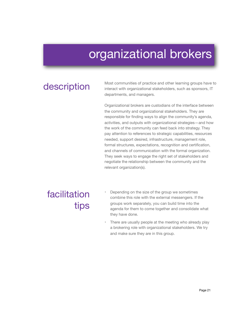# organizational brokers

Most communities of practice and other learning groups have to<br> **description** interact with organizational stakeholders, such as sponsors, IT departments, and managers.

> Organizational brokers are custodians of the interface between the community and organizational stakeholders. They are responsible for finding ways to align the community's agenda, activities, and outputs with organizational strategies—and how the work of the community can feed back into strategy. They pay attention to references to strategic capabilities, resources needed, support desired, infrastructure, management role, formal structures, expectations, recognition and certification, and channels of communication with the formal organization. They seek ways to engage the right set of stakeholders and negotiate the relationship between the community and the relevant organization(s).

# facilitation tips

- Depending on the size of the group we sometimes combine this role with the external messengers. If the groups work separately, you can build time into the agenda for them to come together and consolidate what they have done.
- There are usually people at the meeting who already play a brokering role with organizational stakeholders. We try and make sure they are in this group.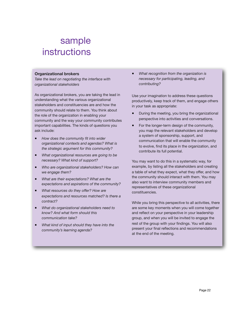#### **Organizational brokers**

*Take the lead on negotiating the interface with organizational stakeholders*

As organizational brokers, you are taking the lead in understanding what the various organizational stakeholders and constituencies are and how the community should relate to them. You think about the role of the organization in enabling your community and the way your community contributes important capabilities. The kinds of questions you ask include:

- § *How does the community fit into wider organizational contexts and agendas? What is the strategic argument for this community?*
- § *What organizational resources are going to be necessary? What kind of support?*
- § *Who are organizational stakeholders? How can we engage them?*
- § *What are their expectations? What are the expectations and aspirations of the community?*
- § *What resources do they offer? How are expectations and resources matched? Is there a contract?*
- § *What do organizational stakeholders need to know? And what form should this communication take?*
- § *What kind of input should they have into the community's learning agenda?*

§ *What recognition from the organization is necessary for participating, leading, and contributing?*

Use your imagination to address these questions productively, keep track of them, and engage others in your task as appropriate:

- During the meeting, you bring the organizational perspective into activities and conversations.
- For the longer-term design of the community, you map the relevant stakeholders and develop a system of sponsorship, support, and communication that will enable the community to evolve, find its place in the organization, and contribute its full potential.

You may want to do this in a systematic way, for example, by listing all the stakeholders and creating a table of what they expect, what they offer, and how the community should interact with them. You may also want to interview community members and representatives of these organizational constituencies.

While you bring this perspective to all activities, there are some key moments when you will come together and reflect on your perspective in your leadership group, and when you will be invited to engage the rest of the group with your findings. You will also present your final reflections and recommendations at the end of the meeting.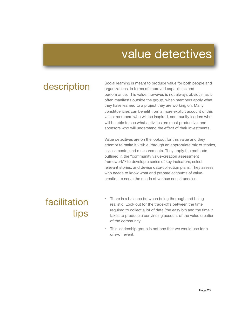# value detectives

description Social learning is meant to produce value for both people and<br>organizations, in terms of improved capabilities and organizations, in terms of improved capabilities and performance. This value, however, is not always obvious, as it often manifests outside the group, when members apply what they have learned to a project they are working on. Many constituencies can benefit from a more explicit account of this value: members who will be inspired, community leaders who will be able to see what activities are most productive, and sponsors who will understand the effect of their investments.

> Value detectives are on the lookout for this value and they attempt to make it visible, through an appropriate mix of stories, assessments, and measurements. They apply the methods outlined in the "community value-creation assessment framework"2 to develop a series of key indicators, select relevant stories, and devise data-collection plans. They assess who needs to know what and prepare accounts of valuecreation to serve the needs of various constituencies.

# facilitation tips

- There is a balance between being thorough and being realistic. Look out for the trade-offs between the time required to collect a lot of data (the easy bit) and the time it takes to produce a convincing account of the value creation of the community.
- This leadership group is not one that we would use for a one-off event.